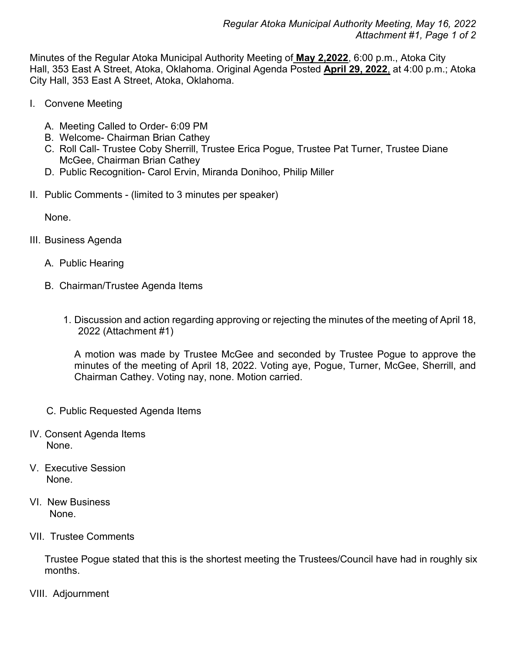Minutes of the Regular Atoka Municipal Authority Meeting of **May 2,2022**, 6:00 p.m., Atoka City Hall, 353 East A Street, Atoka, Oklahoma. Original Agenda Posted **April 29, 2022**, at 4:00 p.m.; Atoka City Hall, 353 East A Street, Atoka, Oklahoma.

- I. Convene Meeting
	- A. Meeting Called to Order- 6:09 PM
	- B. Welcome- Chairman Brian Cathey
	- C. Roll Call- Trustee Coby Sherrill, Trustee Erica Pogue, Trustee Pat Turner, Trustee Diane McGee, Chairman Brian Cathey
	- D. Public Recognition- Carol Ervin, Miranda Donihoo, Philip Miller
- II. Public Comments (limited to 3 minutes per speaker)

None.

- III. Business Agenda
	- A. Public Hearing
	- B. Chairman/Trustee Agenda Items
		- 1. Discussion and action regarding approving or rejecting the minutes of the meeting of April 18, 2022 (Attachment #1)

A motion was made by Trustee McGee and seconded by Trustee Pogue to approve the minutes of the meeting of April 18, 2022. Voting aye, Pogue, Turner, McGee, Sherrill, and Chairman Cathey. Voting nay, none. Motion carried.

- C. Public Requested Agenda Items
- IV. Consent Agenda Items None.
- V. Executive Session None.
- VI. New Business None.

## VII. Trustee Comments

Trustee Pogue stated that this is the shortest meeting the Trustees/Council have had in roughly six months.

VIII. Adjournment